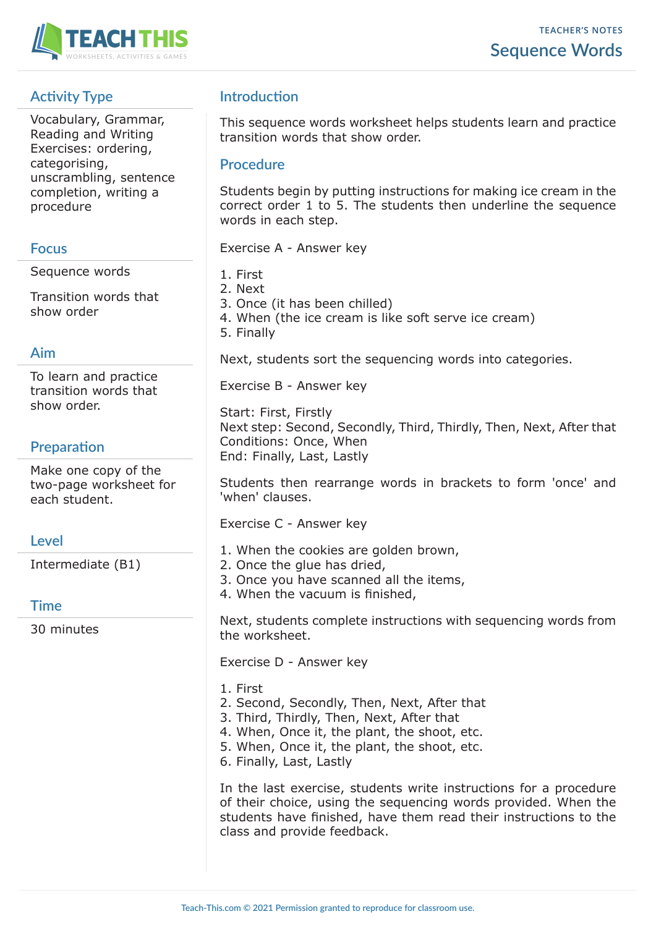

# **Activity Type**

Vocabulary, Grammar, Reading and Writing Exercises: ordering, categorising, unscrambling, sentence completion, writing a procedure

#### **Focus**

Sequence words

Transition words that show order

#### **Aim**

To learn and practice transition words that show order.

# **Preparation**

Make one copy of the two-page worksheet for each student.

### **Level**

Intermediate (B1)

**Time**

30 minutes

# **Introduction**

This sequence words worksheet helps students learn and practice transition words that show order.

#### **Procedure**

Students begin by putting instructions for making ice cream in the correct order 1 to 5. The students then underline the sequence words in each step.

Exercise A - Answer key

- 1. First
- 2. Next
- 3. Once (it has been chilled)
- 4. When (the ice cream is like soft serve ice cream)
- 5. Finally

Next, students sort the sequencing words into categories.

Exercise B - Answer key

Start: First, Firstly Next step: Second, Secondly, Third, Thirdly, Then, Next, After that Conditions: Once, When End: Finally, Last, Lastly

Students then rearrange words in brackets to form 'once' and 'when' clauses.

Exercise C - Answer key

- 1. When the cookies are golden brown,
- 2. Once the glue has dried,
- 3. Once you have scanned all the items,
- 4. When the vacuum is finished,

Next, students complete instructions with sequencing words from the worksheet.

Exercise D - Answer key

- 1. First 2. Second, Secondly, Then, Next, After that
- 3. Third, Thirdly, Then, Next, After that
- 4. When, Once it, the plant, the shoot, etc.
- 5. When, Once it, the plant, the shoot, etc.
- 6. Finally, Last, Lastly

In the last exercise, students write instructions for a procedure of their choice, using the sequencing words provided. When the students have finished, have them read their instructions to the class and provide feedback.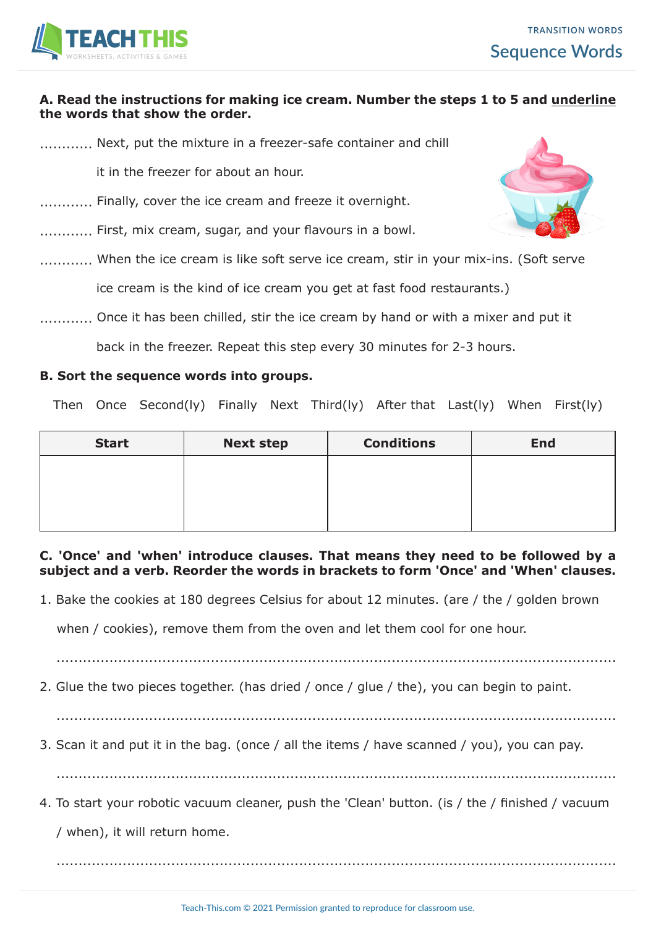

#### **A. Read the instructions for making ice cream. Number the steps 1 to 5 and underline the words that show the order.**

............ Next, put the mixture in a freezer-safe container and chill

it in the freezer for about an hour.

- ............ Finally, cover the ice cream and freeze it overnight.
- ............ First, mix cream, sugar, and your flavours in a bowl.
- ............ When the ice cream is like soft serve ice cream, stir in your mix-ins. (Soft serve

ice cream is the kind of ice cream you get at fast food restaurants.)

............. Once it has been chilled, stir the ice cream by hand or with a mixer and put it

back in the freezer. Repeat this step every 30 minutes for 2-3 hours.

#### **B. Sort the sequence words into groups.**

Then Once Second(ly) Finally Next Third(ly) After that Last(ly) When First(ly)

| <b>Start</b> | <b>Next step</b> | <b>Conditions</b> | <b>End</b> |
|--------------|------------------|-------------------|------------|
|              |                  |                   |            |
|              |                  |                   |            |
|              |                  |                   |            |

**C. 'Once' and 'when' introduce clauses. That means they need to be followed by a subject and a verb. Reorder the words in brackets to form 'Once' and 'When' clauses.**

1. Bake the cookies at 180 degrees Celsius for about 12 minutes. (are / the / golden brown

when / cookies), remove them from the oven and let them cool for one hour.

...............................................................................................................................

2. Glue the two pieces together. (has dried / once / glue / the), you can begin to paint.

...............................................................................................................................

3. Scan it and put it in the bag. (once / all the items / have scanned / you), you can pay.

...............................................................................................................................

4. To start your robotic vacuum cleaner, push the 'Clean' button. (is / the / finished / vacuum

/ when), it will return home.

...............................................................................................................................